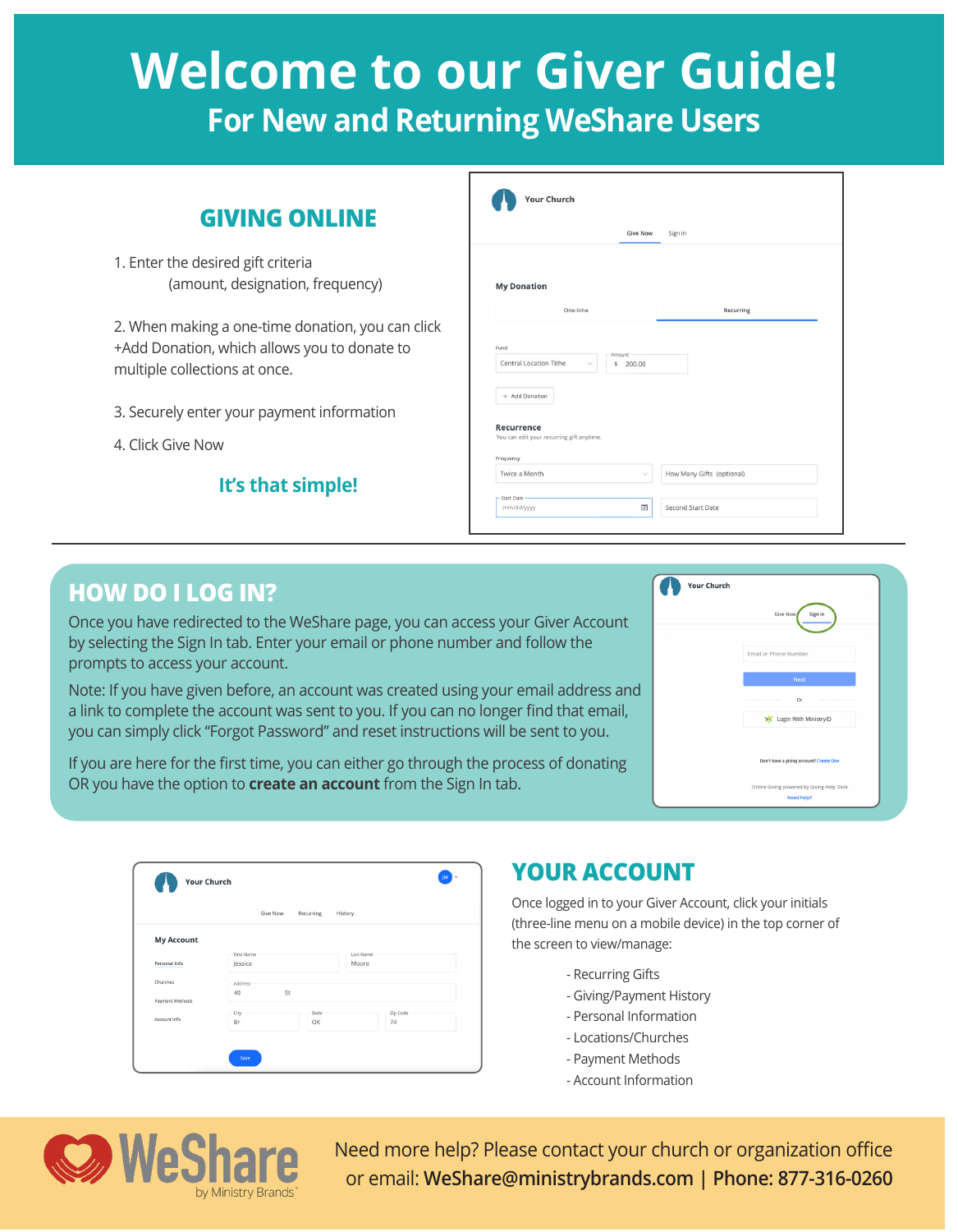# **Welcome to our Giver Guide! For New and Returning WeShare Users**

## **GIVING ONLINE**

1. Enter the desired gift criteria (amount, designation, frequency)

2. When making a one-time donation, you can click +Add Donation, which allows you to donate to multiple collections at once.

- 3. Securely enter your payment information
- 4. Click Give Now

#### **It's that simple!**

|                                                                                               | <b>Give Now</b>        | Sign in   |
|-----------------------------------------------------------------------------------------------|------------------------|-----------|
| <b>My Donation</b>                                                                            |                        |           |
| One-time                                                                                      |                        | Recurring |
| Fund<br>Central Location Tithe<br>$\checkmark$                                                | Amount<br>200.00<br>\$ |           |
| + Add Donation<br><b>Recurrence</b><br>You can edit your recurring gift anytime.<br>Frequency |                        |           |

### **HOW DO I LOG IN?**

Once you have redirected to the WeShare page, you can access your Giver Account by selecting the Sign In tab. Enter your email or phone number and follow the prompts to access your account.

Note: If you have given before, an account was created using your email address and a link to complete the account was sent to you. If you can no longer find that email, you can simply click "Forgot Password" and reset instructions will be sent to you.

If you are here for the first time, you can either go through the process of donating OR you have the option to **create an account** from the Sign In tab.

| <b>Your Church</b> |                                                         |
|--------------------|---------------------------------------------------------|
|                    | Sign in<br>Give Now                                     |
|                    | Email or Phone Number                                   |
|                    | Next                                                    |
|                    | Or                                                      |
|                    | Login With MinistryID                                   |
|                    |                                                         |
|                    | Don't have a giving account? Create One                 |
|                    | Online Giving powered by Giving Help Desk<br>Need help? |

|                   | Give Now   | Recurring<br>History |           |
|-------------------|------------|----------------------|-----------|
| <b>My Account</b> |            |                      |           |
|                   | First Name |                      | Last Name |
| Personal Info     | Jessica    |                      | Moore     |
| Churches          | Address    |                      |           |
|                   | 40         | St                   |           |
| Payment Methods   |            |                      |           |
|                   | City       | State                | Zip Code  |
| Account Info      | Br         | OK                   | 74        |

### **YOUR ACCOUNT**

Once logged in to your Giver Account, click your initials (three-line menu on a mobile device) in the top corner of the screen to view/manage:

- Recurring Gifts
- Giving/Payment History
- Personal Information
- Locations/Churches
- Payment Methods
- Account Information



Need more help? Please contact your church or organization office or email: **WeShare@ministrybrands.com | Phone: 877-316-0260**